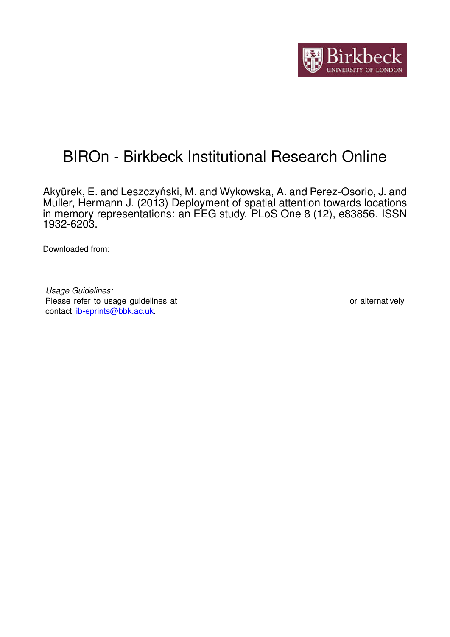

# BIROn - Birkbeck Institutional Research Online

Akyürek, E. and Leszczyński, M. and Wykowska, A. and Perez-Osorio, J. and Muller, Hermann J. (2013) Deployment of spatial attention towards locations in memory representations: an EEG study. PLoS One 8 (12), e83856. ISSN 1932-6203.

Downloaded from: <https://eprints.bbk.ac.uk/id/eprint/9080/>

*Usage Guidelines:* Please refer to usage guidelines at <https://eprints.bbk.ac.uk/policies.html> or alternatively contact [lib-eprints@bbk.ac.uk.](mailto:lib-eprints@bbk.ac.uk)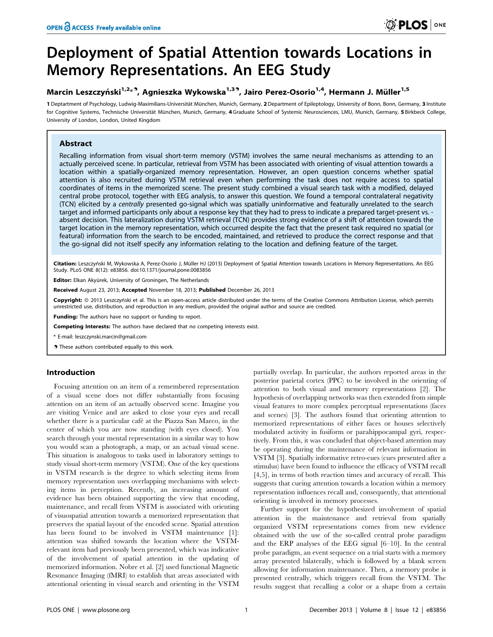## Deployment of Spatial Attention towards Locations in Memory Representations. An EEG Study

## Marcin Leszczyński<sup>1,2</sup>\*<sup>9</sup>, Agnieszka Wykowska<sup>1,39</sup>, Jairo Perez-Osorio<sup>1,4</sup>, Hermann J. Müller<sup>1,5</sup>

1 Deptartment of Psychology, Ludwig-Maximilians-Universität München, Munich, Germany, 2 Department of Epileptology, University of Bonn, Bonn, Germany, 3 Institute for Cognitive Systems, Technische Universität München, Munich, Germany, 4 Graduate School of Systemic Neurosciences, LMU, Munich, Germany, 5 Birkbeck College, University of London, London, United Kingdom

## Abstract

Recalling information from visual short-term memory (VSTM) involves the same neural mechanisms as attending to an actually perceived scene. In particular, retrieval from VSTM has been associated with orienting of visual attention towards a location within a spatially-organized memory representation. However, an open question concerns whether spatial attention is also recruited during VSTM retrieval even when performing the task does not require access to spatial coordinates of items in the memorized scene. The present study combined a visual search task with a modified, delayed central probe protocol, together with EEG analysis, to answer this question. We found a temporal contralateral negativity (TCN) elicited by a centrally presented go-signal which was spatially uninformative and featurally unrelated to the search target and informed participants only about a response key that they had to press to indicate a prepared target-present vs. absent decision. This lateralization during VSTM retrieval (TCN) provides strong evidence of a shift of attention towards the target location in the memory representation, which occurred despite the fact that the present task required no spatial (or featural) information from the search to be encoded, maintained, and retrieved to produce the correct response and that the go-signal did not itself specify any information relating to the location and defining feature of the target.

Citation: Leszczyński M, Wykowska A, Perez-Osorio J, Müller HJ (2013) Deployment of Spatial Attention towards Locations in Memory Representations. An EEG Study. PLoS ONE 8(12): e83856. doi:10.1371/journal.pone.0083856

Editor: Elkan Akyürek, University of Groningen, The Netherlands

Received August 23, 2013; Accepted November 18, 2013; Published December 26, 2013

Copyright: © 2013 Leszczyński et al. This is an open-access article distributed under the terms of the Creative Commons Attribution License, which permits unrestricted use, distribution, and reproduction in any medium, provided the original author and source are credited.

Funding: The authors have no support or funding to report.

Competing Interests: The authors have declared that no competing interests exist.

\* E-mail: leszczynski.marcin@gmail.com

**.** These authors contributed equally to this work.

## Introduction

Focusing attention on an item of a remembered representation of a visual scene does not differ substantially from focusing attention on an item of an actually observed scene. Imagine you are visiting Venice and are asked to close your eyes and recall whether there is a particular café at the Piazza San Marco, in the center of which you are now standing (with eyes closed). You search through your mental representation in a similar way to how you would scan a photograph, a map, or an actual visual scene. This situation is analogous to tasks used in laboratory settings to study visual short-term memory (VSTM). One of the key questions in VSTM research is the degree to which selecting items from memory representation uses overlapping mechanisms with selecting items in perception. Recently, an increasing amount of evidence has been obtained supporting the view that encoding, maintenance, and recall from VSTM is associated with orienting of visuospatial attention towards a memorized representation that preserves the spatial layout of the encoded scene. Spatial attention has been found to be involved in VSTM maintenance [1]: attention was shifted towards the location where the VSTMrelevant item had previously been presented, which was indicative of the involvement of spatial attention in the updating of memorized information. Nobre et al. [2] used functional Magnetic Resonance Imaging (fMRI) to establish that areas associated with attentional orienting in visual search and orienting in the VSTM

partially overlap. In particular, the authors reported areas in the posterior parietal cortex (PPC) to be involved in the orienting of attention to both visual and memory representations [2]. The hypothesis of overlapping networks was then extended from simple visual features to more complex perceptual representations (faces and scenes) [3]. The authors found that orienting attention to memorized representations of either faces or houses selectively modulated activity in fusiform or parahippocampal gyri, respectively. From this, it was concluded that object-based attention may be operating during the maintenance of relevant information in VSTM [3]. Spatially informative retro-cues (cues presented after a stimulus) have been found to influence the efficacy of VSTM recall [4,5], in terms of both reaction times and accuracy of recall. This suggests that cueing attention towards a location within a memory representation influences recall and, consequently, that attentional orienting is involved in memory processes.

Further support for the hypothesized involvement of spatial attention in the maintenance and retrieval from spatially organized VSTM representations comes from new evidence obtained with the use of the so-called central probe paradigm and the ERP analyses of the EEG signal [6–10]. In the central probe paradigm, an event sequence on a trial starts with a memory array presented bilaterally, which is followed by a blank screen allowing for information maintenance. Then, a memory probe is presented centrally, which triggers recall from the VSTM. The results suggest that recalling a color or a shape from a certain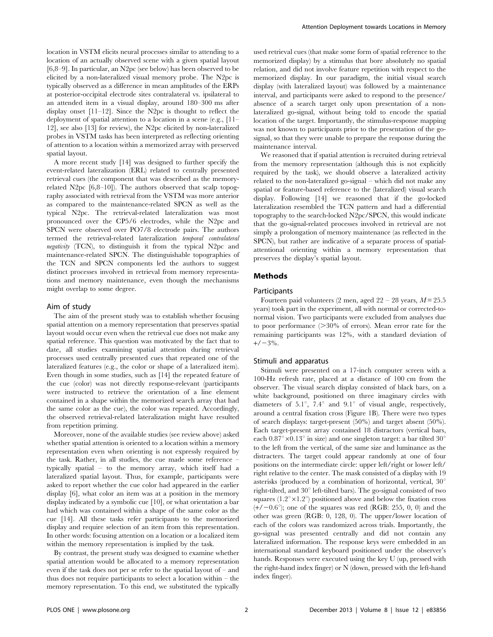location in VSTM elicits neural processes similar to attending to a location of an actually observed scene with a given spatial layout [6,8–9]. In particular, an N2pc (see below) has been observed to be elicited by a non-lateralized visual memory probe. The N2pc is typically observed as a difference in mean amplitudes of the ERPs at posterior-occipital electrode sites contralateral vs. ipsilateral to an attended item in a visual display, around 180–300 ms after display onset [11–12]. Since the N2pc is thought to reflect the deployment of spatial attention to a location in a scene (e.g., [11– 12], see also [13] for review), the N2pc elicited by non-lateralized probes in VSTM tasks has been interpreted as reflecting orienting of attention to a location within a memorized array with preserved spatial layout.

A more recent study [14] was designed to further specify the event-related lateralization (ERL) related to centrally presented retrieval cues (the component that was described as the memoryrelated N2pc [6,8–10]). The authors observed that scalp topography associated with retrieval from the VSTM was more anterior as compared to the maintenance-related SPCN as well as the typical N2pc. The retrieval-related lateralization was most pronounced over the CP5/6 electrodes, while the N2pc and SPCN were observed over PO7/8 electrode pairs. The authors termed the retrieval-related lateralization temporal contralateral negativity (TCN), to distinguish it from the typical N2pc and maintenance-related SPCN. The distinguishable topographies of the TCN and SPCN components led the authors to suggest distinct processes involved in retrieval from memory representations and memory maintenance, even though the mechanisms might overlap to some degree.

#### Aim of study

The aim of the present study was to establish whether focusing spatial attention on a memory representation that preserves spatial layout would occur even when the retrieval cue does not make any spatial reference. This question was motivated by the fact that to date, all studies examining spatial attention during retrieval processes used centrally presented cues that repeated one of the lateralized features (e.g., the color or shape of a lateralized item). Even though in some studies, such as [14] the repeated feature of the cue (color) was not directly response-relevant (participants were instructed to retrieve the orientation of a line element contained in a shape within the memorized search array that had the same color as the cue), the color was repeated. Accordingly, the observed retrieval-related lateralization might have resulted from repetition priming.

Moreover, none of the available studies (see review above) asked whether spatial attention is oriented to a location within a memory representation even when orienting is not expressly required by the task. Rather, in all studies, the cue made some reference – typically spatial – to the memory array, which itself had a lateralized spatial layout. Thus, for example, participants were asked to report whether the cue color had appeared in the earlier display [6], what color an item was at a position in the memory display indicated by a symbolic cue [10], or what orientation a bar had which was contained within a shape of the same color as the cue [14]. All these tasks refer participants to the memorized display and require selection of an item from this representation. In other words: focusing attention on a location or a localized item within the memory representation is implied by the task.

By contrast, the present study was designed to examine whether spatial attention would be allocated to a memory representation even if the task does not per se refer to the spatial layout of – and thus does not require participants to select a location within – the memory representation. To this end, we substituted the typically

used retrieval cues (that make some form of spatial reference to the memorized display) by a stimulus that bore absolutely no spatial relation, and did not involve feature repetition with respect to the memorized display. In our paradigm, the initial visual search display (with lateralized layout) was followed by a maintenance interval, and participants were asked to respond to the presence/ absence of a search target only upon presentation of a nonlateralized go-signal, without being told to encode the spatial location of the target. Importantly, the stimulus-response mapping was not known to participants prior to the presentation of the gosignal, so that they were unable to prepare the response during the maintenance interval.

We reasoned that if spatial attention is recruited during retrieval from the memory representation (although this is not explicitly required by the task), we should observe a lateralized activity related to the non-lateralized go-signal – which did not make any spatial or feature-based reference to the (lateralized) visual search display. Following [14] we reasoned that if the go-locked lateralization resembled the TCN pattern and had a differential topography to the search-locked N2pc/SPCN, this would indicate that the go-signal-related processes involved in retrieval are not simply a prolongation of memory maintenance (as reflected in the SPCN), but rather are indicative of a separate process of spatialattentional orienting within a memory representation that preserves the display's spatial layout.

#### Methods

#### Participants

Fourteen paid volunteers (2 men, aged  $22 - 28$  years,  $M = 25.5$ years) took part in the experiment, all with normal or corrected-tonormal vision. Two participants were excluded from analyses due to poor performance  $(>= 30\%$  of errors). Mean error rate for the remaining participants was 12%, with a standard deviation of  $+/-3%$ .

#### Stimuli and apparatus

Stimuli were presented on a 17-inch computer screen with a 100-Hz refresh rate, placed at a distance of 100 cm from the observer. The visual search display consisted of black bars, on a white background, positioned on three imaginary circles with diameters of 5.1°, 7.4° and 9.1° of visual angle, respectively, around a central fixation cross (Figure 1B). There were two types of search displays: target-present (50%) and target absent (50%). Each target-present array contained 18 distractors (vertical bars, each  $0.87^{\circ} \times 0.13^{\circ}$  in size) and one singleton target: a bar tilted  $30^{\circ}$ to the left from the vertical, of the same size and luminance as the distracters. The target could appear randomly at one of four positions on the intermediate circle: upper left/right or lower left/ right relative to the center. The mask consisted of a display with 19 asterisks (produced by a combination of horizontal, vertical,  $30^{\circ}$ right-tilted, and  $30^{\circ}$  left-tilted bars). The go-signal consisted of two squares  $(1.2^{\circ} \times 1.2^{\circ})$  positioned above and below the fixation cross  $(+/-0.6^{\circ})$ ; one of the squares was red (RGB: 255, 0, 0) and the other was green (RGB: 0, 128, 0). The upper/lower location of each of the colors was randomized across trials. Importantly, the go-signal was presented centrally and did not contain any lateralized information. The response keys were embedded in an international standard keyboard positioned under the observer's hands. Responses were executed using the key U (up, pressed with the right-hand index finger) or N (down, pressed with the left-hand index finger).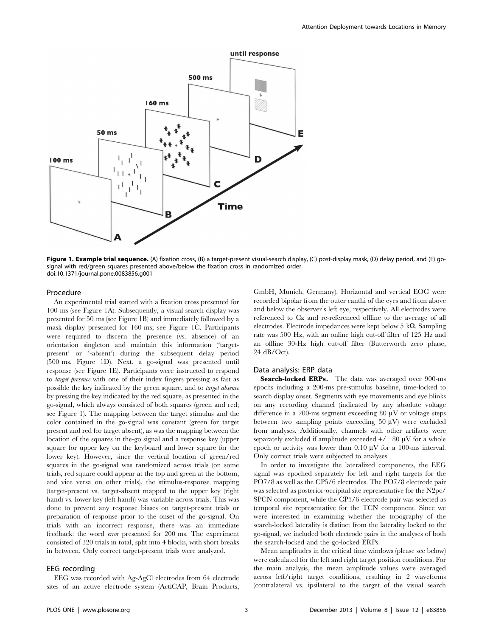

Figure 1. Example trial sequence. (A) fixation cross, (B) a target-present visual-search display, (C) post-display mask, (D) delay period, and (E) gosignal with red/green squares presented above/below the fixation cross in randomized order. doi:10.1371/journal.pone.0083856.g001

#### Procedure

An experimental trial started with a fixation cross presented for 100 ms (see Figure 1A). Subsequently, a visual search display was presented for 50 ms (see Figure 1B) and immediately followed by a mask display presented for 160 ms; see Figure 1C. Participants were required to discern the presence (vs. absence) of an orientation singleton and maintain this information ('targetpresent' or '-absent') during the subsequent delay period (500 ms, Figure 1D). Next, a go-signal was presented until response (see Figure 1E). Participants were instructed to respond to target presence with one of their index fingers pressing as fast as possible the key indicated by the green square, and to target absence by pressing the key indicated by the red square, as presented in the go-signal, which always consisted of both squares (green and red; see Figure 1). The mapping between the target stimulus and the color contained in the go-signal was constant (green for target present and red for target absent), as was the mapping between the location of the squares in the-go signal and a response key (upper square for upper key on the keyboard and lower square for the lower key). However, since the vertical location of green/red squares in the go-signal was randomized across trials (on some trials, red square could appear at the top and green at the bottom, and vice versa on other trials), the stimulus-response mapping (target-present vs. target-absent mapped to the upper key (right hand) vs. lower key (left hand)) was variable across trials. This was done to prevent any response biases on target-present trials or preparation of response prior to the onset of the go-signal. On trials with an incorrect response, there was an immediate feedback: the word error presented for 200 ms. The experiment consisted of 320 trials in total, split into 4 blocks, with short breaks in between. Only correct target-present trials were analyzed.

#### EEG recording

EEG was recorded with Ag-AgCl electrodes from 64 electrode sites of an active electrode system (ActiCAP, Brain Products, GmbH, Munich, Germany). Horizontal and vertical EOG were recorded bipolar from the outer canthi of the eyes and from above and below the observer's left eye, respectively. All electrodes were referenced to Cz and re-referenced offline to the average of all electrodes. Electrode impedances were kept below 5 k $\Omega$ . Sampling rate was 500 Hz, with an online high cut-off filter of 125 Hz and an offline 30-Hz high cut-off filter (Butterworth zero phase, 24 dB/Oct).

#### Data analysis: ERP data

Search-locked ERPs. The data was averaged over 900-ms epochs including a 200-ms pre-stimulus baseline, time-locked to search display onset. Segments with eye movements and eye blinks on any recording channel (indicated by any absolute voltage difference in a 200-ms segment exceeding 80  $\mu$ V or voltage steps between two sampling points exceeding 50  $\mu$ V) were excluded from analyses. Additionally, channels with other artifacts were separately excluded if amplitude exceeded  $+/-80 \mu V$  for a whole epoch or activity was lower than  $0.10 \mu V$  for a 100-ms interval. Only correct trials were subjected to analyses.

In order to investigate the lateralized components, the EEG signal was epoched separately for left and right targets for the PO7/8 as well as the CP5/6 electrodes. The PO7/8 electrode pair was selected as posterior-occipital site representative for the N2pc/ SPCN component, while the CP5/6 electrode pair was selected as temporal site representative for the TCN component. Since we were interested in examining whether the topography of the search-locked laterality is distinct from the laterality locked to the go-signal, we included both electrode pairs in the analyses of both the search-locked and the go-locked ERPs.

Mean amplitudes in the critical time windows (please see below) were calculated for the left and right target position conditions. For the main analysis, the mean amplitude values were averaged across left/right target conditions, resulting in 2 waveforms (contralateral vs. ipsilateral to the target of the visual search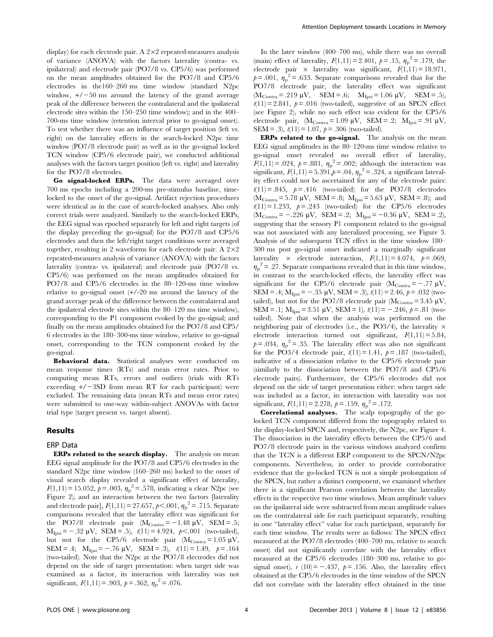display) for each electrode pair. A  $2\times 2$  repeated-measures analysis of variance (ANOVA) with the factors laterality (contra- vs. ipsilateral) and electrode pair (PO7/8 vs. CP5/6) was performed on the mean amplitudes obtained for the PO7/8 and CP5/6 electrodes in the160–260 ms time window (standard N2pc window,  $+/-50$  ms around the latency of the grand average peak of the difference between the contralateral and the ipsilateral electrode sites within the 150–250 time window); and in the 400– 700-ms time window (retention interval prior to go-signal onset). To test whether there was an influence of target position (left vs. right) on the laterality effects in the search-locked N2pc time window (PO7/8 electrode pair) as well as in the go-signal locked TCN window (CP5/6 electrode pair), we conducted additional analyses with the factors target position (left vs. right) and laterality for the PO7/8 electrodes.

Go signal-locked ERPs. The data were averaged over 700 ms epochs including a 200-ms pre-stimulus baseline, timelocked to the onset of the go-signal. Artifact rejection procedures were identical as in the case of search-locked analyses. Also only correct trials were analyzed. Similarly to the search-locked ERPs, the EEG signal was epoched separately for left and right targets (of the display preceding the go-signal) for the PO7/8 and CP5/6 electrodes and then the left/right target conditions were averaged together, resulting in 2 waveforms for each electrode pair. A  $2\times2$ repeated-measures analysis of variance (ANOVA) with the factors laterality (contra- vs. ipsilateral) and electrode pair (PO7/8 vs. CP5/6) was performed on the mean amplitudes obtained for PO7/8 and CP5/6 electrodes in the 80–120-ms time window relative to go-signal onset (+/-20 ms around the latency of the grand average peak of the difference between the contralateral and the ipsilateral electrode sites within the 80–120 ms time window), corresponding to the P1 component evoked by the go-signal; and finally on the mean amplitudes obtained for the PO7/8 and CP5/ 6 electrodes in the 180–300-ms time window, relative to go-signal onset, corresponding to the TCN component evoked by the go-signal.

Behavioral data. Statistical analyses were conducted on mean response times (RTs) and mean error rates. Prior to computing mean RTs, errors and outliers (trials with RTs exceeding  $+/-3SD$  from mean RT for each participant) were excluded. The remaining data (mean RTs and mean error rates) were submitted to one-way within-subject ANOVAs with factor trial type (target present vs. target absent).

#### Results

#### ERP Data

ERPs related to the search display. The analysis on mean EEG signal amplitude for the PO7/8 and CP5/6 electrodes in the standard N2pc time window (160–260 ms) locked to the onset of visual search display revealed a significant effect of laterality,  $F(1,11) = 15.052, p = .003, \eta_p^2 = .578$ , indicating a clear N2pc (see Figure 2), and an interaction between the two factors [laterality and electrode pair],  $F(1,11) = 27.657$ ,  $p < .001$ ,  $\eta_p^2 = .715$ . Separate comparisons revealed that the laterality effect was significant for the PO7/8 electrode pair  $(M_{\text{Contra}} = -1.48 \text{ }\mu\text{V}, \text{ SEM} = .5;$  $M_{\text{Ipsi}} = -.32 \text{ }\mu\text{V}, \text{~SEM} = .5$ ),  $t(11) = 4.924, p<.001 \text{ (two-tailed)}$ , but not for the CP5/6 electrode pair  $(M_{\rm Comtra}=1.05 \text{ }\mu\text{V},$ SEM = .4;  $M_{\text{Ipsi}} = -.76 \text{ }\mu\text{V}$ , SEM = .3),  $t(11) = 1.49$ ,  $p = .164$ (two-tailed). Note that the N2pc at the PO7/8 electrodes did not depend on the side of target presentation: when target side was examined as a factor, its interaction with laterality was not significant,  $F(1,11) = .903$ ,  $p = .362$ ,  $\eta_p^2 = .076$ .

In the later window (400–700 ms), while there was no overall (main) effect of laterality,  $F(1,11) = 2.401$ ,  $p = .15$ ,  $\eta_p^2 = .179$ , the electrode pair  $\times$  laterality was significant,  $F(1,11) = 18.971$ ,  $p = .001$ ,  $\eta_p^2 = .633$ . Separate comparisons revealed that for the PO7/8 electrode pair, the laterality effect was significant  $(M_{\text{Contra}} = .219 \text{ }\mu\text{V}, \quad \text{SEM} = .6; \quad M_{\text{Ipsi}} = 1.06 \text{ }\mu\text{V}, \quad \text{SEM} = .5),$  $t(11) = 2.841$ ,  $p = .016$  (two-tailed), suggestive of an SPCN effect (see Figure 2), while no such effect was evident for the CP5/6 electrode pair,  $(M_{Contra} = 1.09 \mu V, SEM = .2; M_{Ipsi} = .91 \mu V,$ SEM = .3),  $t(11) = 1.07$ ,  $p = .306$  (two-tailed).

ERPs related to the go-signal. The analysis on the mean EEG signal amplitudes in the 80–120-ms time window relative to go-signal onset revealed no overall effect of laterality,  $F(1,11) = .024, p = .881, \eta_p^2 = .002$ ; although the interaction was significant,  $F(1,11) = 5.391, p = .04, \eta_p^2 = .324$ , a significant laterality effect could not be ascertained for any of the electrode pairs:  $t(11) = .845$ ,  $p = .416$  (two-tailed) for the PO7/8 electrodes  $(M_{\text{Contra}} = 5.78 \text{ }\mu\text{V}, \text{ SEM} = .8; M_{\text{Ipsi}} = 5.63 \text{ }\mu\text{V}, \text{ SEM} = .8); \text{ and}$  $t(11) = 1.233$ ,  $p = .243$  (two-tailed) for the CP5/6 electrodes  $(M_{Contra} = -.226 \mu V, \text{SEM} = .2; M_{Ipsi} = -0.36 \mu V, \text{SEM} = .2),$ suggesting that the sensory P1 component related to the go-signal was not associated with any lateralized processing, see Figure 3. Analysis of the subsequent TCN effect in the time window 180– 300 ms post go-signal onset indicated a marginally significant laterality  $\times$  electrode interaction,  $F(1,11) = 4.074$ ,  $p = .069$ ,  $\eta_p^2$  = .27. Separate comparisons revealed that in this time window, in contrast to the search-locked effects, the laterality effect was significant for the CP5/6 electrode pair  $(M_{Contra} = -.77 \mu V,$ SEM = .4;  $M_{\text{Insi}} = -.35 \mu V$ , SEM = .3),  $t(11) = 2.46$ ,  $p = .032$  (twotailed), but not for the PO7/8 electrode pair ( $M_{\rm Contra}$  = 3.45  $\mu$ V, SEM = .1;  $M_{\text{Insi}}$  = 3.51  $\mu$ V, SEM = 1),  $t(11)$  = -.246,  $p = .81$  (twotailed). Note that when the analysis was performed on the neighboring pair of electrodes (i.e., the PO3/4), the laterality  $\times$ electrode interaction turned out significant,  $F(1,11) = 5.84$ ,  $p = .034$ ,  $\eta_p^2 = .35$ . The laterality effect was also not significant for the PO3/4 electrode pair,  $t(11) = 1.41$ ,  $p = .187$  (two-tailed), indicative of a dissociation relative to the CP5/6 electrode pair (similarly to the dissociation between the PO7/8 and CP5/6 electrode pairs). Furthermore, the CP5/6 electrodes did not depend on the side of target presentation either: when target side was included as a factor, its interaction with laterality was not significant,  $F(1,11) = 2.278$ ,  $p = .159$ ,  $\eta_p^2 = .172$ .

Correlational analyses. The scalp topography of the golocked TCN component differed from the topography related to the display-locked SPCN and, respectively, the N2pc, see Figure 4. The dissociation in the laterality effects between the CP5/6 and PO7/8 electrode pairs in the various windows analyzed confirm that the TCN is a different ERP component to the SPCN/N2pc components. Nevertheless, in order to provide corroborative evidence that the go-locked TCN is not a simple prolongation of the SPCN, but rather a distinct component, we examined whether there is a significant Pearson correlation between the laterality effects in the respective two time windows. Mean amplitude values on the ipsilateral side were subtracted from mean amplitude values on the contralateral side for each participant separately, resulting in one ''laterality effect'' value for each participant, separately for each time window. The results were as follows: The SPCN effect measured at the PO7/8 electrodes (400–700 ms, relative to search onset) did not significantly correlate with the laterality effect measured at the CP5/6 electrodes (180–300 ms, relative to gosignal onset),  $r(10) = -0.437$ ,  $p = 0.156$ . Also, the laterality effect obtained at the CP5/6 electrodes in the time window of the SPCN did not correlate with the laterality effect obtained in the time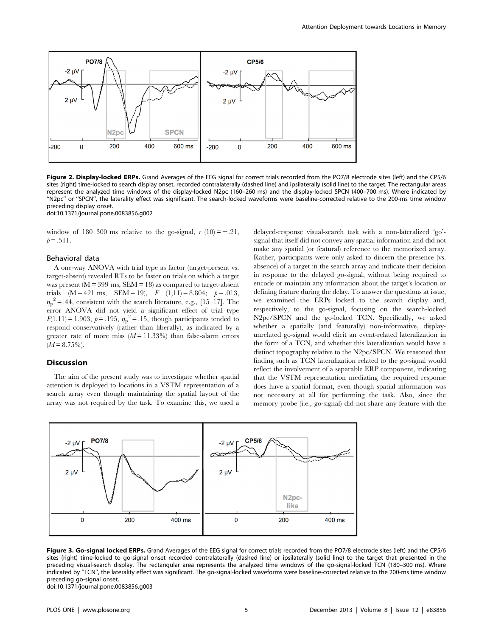

Figure 2. Display-locked ERPs. Grand Averages of the EEG signal for correct trials recorded from the PO7/8 electrode sites (left) and the CP5/6 sites (right) time-locked to search display onset, recorded contralaterally (dashed line) and ipsilaterally (solid line) to the target. The rectangular areas represent the analyzed time windows of the display-locked N2pc (160–260 ms) and the display-locked SPCN (400–700 ms). Where indicated by ''N2pc'' or ''SPCN'', the laterality effect was significant. The search-locked waveforms were baseline-corrected relative to the 200-ms time window preceding display onset.

doi:10.1371/journal.pone.0083856.g002

window of 180–300 ms relative to the go-signal,  $r(10) = -.21$ ,  $p = .511$ .

#### Behavioral data

A one-way ANOVA with trial type as factor (target-present vs. target-absent) revealed RTs to be faster on trials on which a target was present  $(M = 399 \text{ ms}, \text{SEM} = 18)$  as compared to target-absent trials  $(M = 421 \text{ ms}, \text{SEM} = 19), F (1,11) = 8.804; p = .013,$  $\eta_p^2$  = .44, consistent with the search literature, e.g., [15–17]. The error ANOVA did not yield a significant effect of trial type  $F(1,11) = 1.903, p = .195, \eta_p^2 = .15$ , though participants tended to respond conservatively (rather than liberally), as indicated by a greater rate of more miss  $(M=11.33\%)$  than false-alarm errors  $(M = 8.75\%)$ .

#### Discussion

The aim of the present study was to investigate whether spatial attention is deployed to locations in a VSTM representation of a search array even though maintaining the spatial layout of the array was not required by the task. To examine this, we used a delayed-response visual-search task with a non-lateralized 'go' signal that itself did not convey any spatial information and did not make any spatial (or featural) reference to the memorized array. Rather, participants were only asked to discern the presence (vs. absence) of a target in the search array and indicate their decision in response to the delayed go-signal, without being required to encode or maintain any information about the target's location or defining feature during the delay. To answer the questions at issue, we examined the ERPs locked to the search display and, respectively, to the go-signal, focusing on the search-locked N2pc/SPCN and the go-locked TCN. Specifically, we asked whether a spatially (and featurally) non-informative, displayunrelated go-signal would elicit an event-related lateralization in the form of a TCN, and whether this lateralization would have a distinct topography relative to the N2pc/SPCN. We reasoned that finding such as TCN lateralization related to the go-signal would reflect the involvement of a separable ERP component, indicating that the VSTM representation mediating the required response does have a spatial format, even though spatial information was not necessary at all for performing the task. Also, since the memory probe (i.e., go-signal) did not share any feature with the



Figure 3. Go-signal locked ERPs. Grand Averages of the EEG signal for correct trials recorded from the PO7/8 electrode sites (left) and the CP5/6 sites (right) time-locked to go-signal onset recorded contralaterally (dashed line) or ipsilaterally (solid line) to the target that presented in the preceding visual-search display. The rectangular area represents the analyzed time windows of the go-signal-locked TCN (180–300 ms). Where indicated by ''TCN'', the laterality effect was significant. The go-signal-locked waveforms were baseline-corrected relative to the 200-ms time window preceding go-signal onset.

doi:10.1371/journal.pone.0083856.g003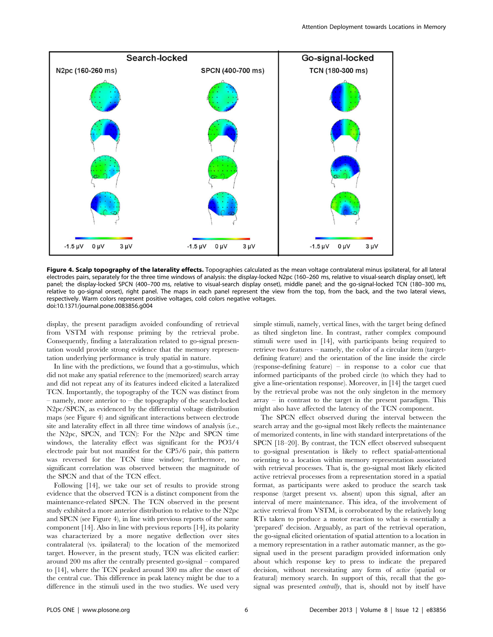

Figure 4. Scalp topography of the laterality effects. Topographies calculated as the mean voltage contralateral minus ipsilateral, for all lateral electrodes pairs, separately for the three time windows of analysis: the display-locked N2pc (160–260 ms, relative to visual-search display onset), left panel; the display-locked SPCN (400–700 ms, relative to visual-search display onset), middle panel; and the go-signal-locked TCN (180–300 ms, relative to go-signal onset), right panel. The maps in each panel represent the view from the top, from the back, and the two lateral views, respectively. Warm colors represent positive voltages, cold colors negative voltages. doi:10.1371/journal.pone.0083856.g004

display, the present paradigm avoided confounding of retrieval from VSTM with response priming by the retrieval probe. Consequently, finding a lateralization related to go-signal presentation would provide strong evidence that the memory representation underlying performance is truly spatial in nature.

In line with the predictions, we found that a go-stimulus, which did not make any spatial reference to the (memorized) search array and did not repeat any of its features indeed elicited a lateralized TCN. Importantly, the topography of the TCN was distinct from – namely, more anterior to – the topography of the search-locked N2pc/SPCN, as evidenced by the differential voltage distribution maps (see Figure 4) and significant interactions between electrode site and laterality effect in all three time windows of analysis (i.e., the N2pc, SPCN, and TCN): For the N2pc and SPCN time windows, the laterality effect was significant for the PO3/4 electrode pair but not manifest for the CP5/6 pair, this pattern was reversed for the TCN time window; furthermore, no significant correlation was observed between the magnitude of the SPCN and that of the TCN effect.

Following [14], we take our set of results to provide strong evidence that the observed TCN is a distinct component from the maintenance-related SPCN. The TCN observed in the present study exhibited a more anterior distribution to relative to the N2pc and SPCN (see Figure 4), in line with previous reports of the same component [14]. Also in line with previous reports [14], its polarity was characterized by a more negative deflection over sites contralateral (vs. ipsilateral) to the location of the memorized target. However, in the present study, TCN was elicited earlier: around 200 ms after the centrally presented go-signal – compared to [14], where the TCN peaked around 300 ms after the onset of the central cue. This difference in peak latency might be due to a difference in the stimuli used in the two studies. We used very

simple stimuli, namely, vertical lines, with the target being defined as tilted singleton line. In contrast, rather complex compound stimuli were used in [14], with participants being required to retrieve two features – namely, the color of a circular item (targetdefining feature) and the orientation of the line inside the circle (response-defining feature) – in response to a color cue that informed participants of the probed circle (to which they had to give a line-orientation response). Moreover, in [14] the target cued by the retrieval probe was not the only singleton in the memory  $array - in contrast to the target in the present paradigm. This$ might also have affected the latency of the TCN component.

The SPCN effect observed during the interval between the search array and the go-signal most likely reflects the maintenance of memorized contents, in line with standard interpretations of the SPCN [18–20]. By contrast, the TCN effect observed subsequent to go-signal presentation is likely to reflect spatial-attentional orienting to a location within memory representation associated with retrieval processes. That is, the go-signal most likely elicited active retrieval processes from a representation stored in a spatial format, as participants were asked to produce the search task response (target present vs. absent) upon this signal, after an interval of mere maintenance. This idea, of the involvement of active retrieval from VSTM, is corroborated by the relatively long RTs taken to produce a motor reaction to what is essentially a 'prepared' decision. Arguably, as part of the retrieval operation, the go-signal elicited orientation of spatial attention to a location in a memory representation in a rather automatic manner, as the gosignal used in the present paradigm provided information only about which response key to press to indicate the prepared decision, without necessitating any form of active (spatial or featural) memory search. In support of this, recall that the gosignal was presented *centrally*, that is, should not by itself have